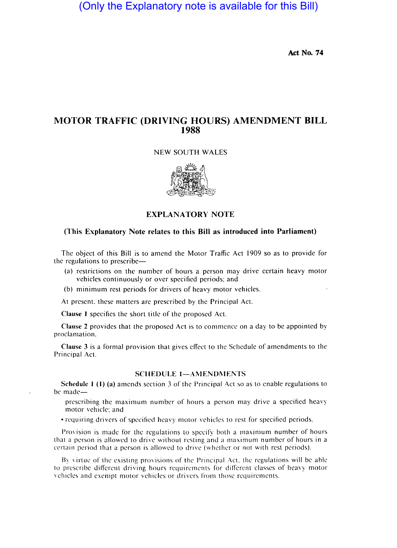(Only the Explanatory note is available for this Bill)

Act No. 74

## MOTOR TRAFFIC (DRIVING HOURS) AMENDMENT **BILL**  1988

NEW SOUTH WALES



EXPLANA TORY NOTE

## (This Explanatory Note relates to this Bill as introduced into Parliament)

The object of this Bill is to amend the Motor Traffic Act 1909 so as to provide for the regulations to prescribe-

- (a) restrictions on the number of hours a person may drive certain heavy motor vehicles continuously or over specified periods: and
- (b) minimum rest periods for drivers of heavy motor vehicles.

At present. these matters are prescribed by the Principal Act.

Clause 1 specifies the short title of the proposed Act.

Clause 2 provides that the proposed Act is to commence on a day to be appointed by proclamation.

Clause 3 is a formal provision that gives effect to the Schedule of amendments to the Principal Act.

## SCHEDULE 1-AMENDMENTS

Schedule  $I(1)$  (a) amends section 3 of the Principal Act so as to enable regulations to be made-

prescribing the maximum number of hours a person may drive a specified heavy motor vehicle: and

• requiring drivers of specified heavy motor vehicles to rest for specified periods.

Provision is made for the regulations to specify both a maximum number of hours that a person is allowed to drive without resting and a maximum number of hours in a certain period that a person is allowed to drive (whether or not with rest periods).

By virtue of the existing provisions of the Principal Act, the regulations will be able to prescribe different driving hours requirements for different classes of heavy motor vehicles and exempt motor vehicles or drivers from those requirements.